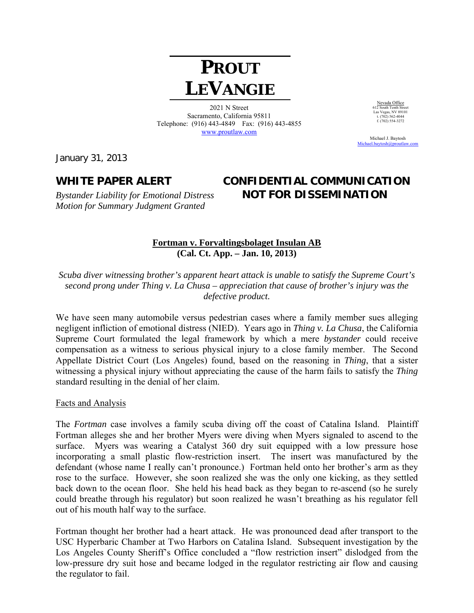# **PROUT LEVANGIE**

2021 N Street Sacramento, California 95811 Telephone: (916) 443-4849 Fax: (916) 443-4855 www.proutlaw.com

Nevada Office 612 South Tenth Street Las Vegas, NV 89101 t. (702) 562-4044 t. (702) 562-4044<br>f. (702) 554-3272

 Michael J. Baytosh Michael.baytosh@proutlaw

January 31, 2013

*Motion for Summary Judgment Granted* 

# **WHITE PAPER ALERT CONFIDENTIAL COMMUNICATION**  *Bystander Liability for Emotional Distress* **NOT FOR DISSEMINATION**

### **Fortman v. Forvaltingsbolaget Insulan AB (Cal. Ct. App. – Jan. 10, 2013)**

*Scuba diver witnessing brother's apparent heart attack is unable to satisfy the Supreme Court's second prong under Thing v. La Chusa – appreciation that cause of brother's injury was the defective product.* 

We have seen many automobile versus pedestrian cases where a family member sues alleging negligent infliction of emotional distress (NIED). Years ago in *Thing v. La Chusa*, the California Supreme Court formulated the legal framework by which a mere *bystander* could receive compensation as a witness to serious physical injury to a close family member. The Second Appellate District Court (Los Angeles) found, based on the reasoning in *Thing*, that a sister witnessing a physical injury without appreciating the cause of the harm fails to satisfy the *Thing* standard resulting in the denial of her claim.

#### Facts and Analysis

The *Fortman* case involves a family scuba diving off the coast of Catalina Island. Plaintiff Fortman alleges she and her brother Myers were diving when Myers signaled to ascend to the surface. Myers was wearing a Catalyst 360 dry suit equipped with a low pressure hose incorporating a small plastic flow-restriction insert. The insert was manufactured by the defendant (whose name I really can't pronounce.) Fortman held onto her brother's arm as they rose to the surface. However, she soon realized she was the only one kicking, as they settled back down to the ocean floor. She held his head back as they began to re-ascend (so he surely could breathe through his regulator) but soon realized he wasn't breathing as his regulator fell out of his mouth half way to the surface.

Fortman thought her brother had a heart attack. He was pronounced dead after transport to the USC Hyperbaric Chamber at Two Harbors on Catalina Island. Subsequent investigation by the Los Angeles County Sheriff's Office concluded a "flow restriction insert" dislodged from the low-pressure dry suit hose and became lodged in the regulator restricting air flow and causing the regulator to fail.